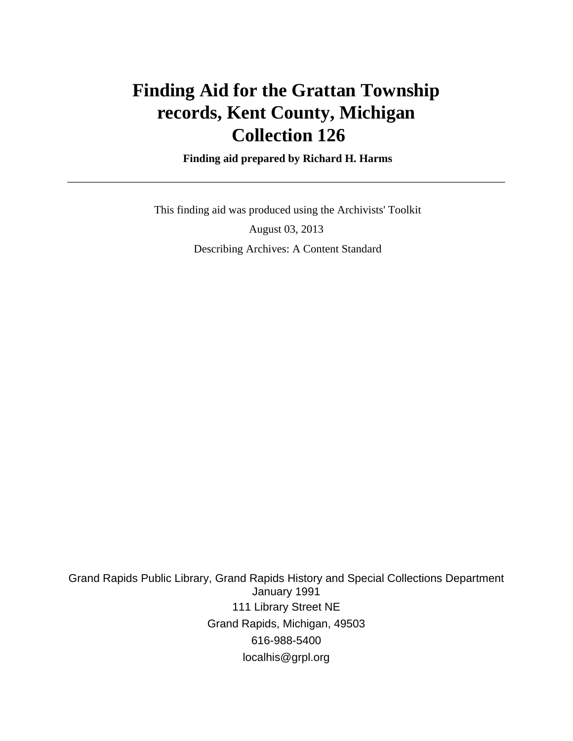# **Finding Aid for the Grattan Township records, Kent County, Michigan Collection 126**

 **Finding aid prepared by Richard H. Harms**

 This finding aid was produced using the Archivists' Toolkit August 03, 2013 Describing Archives: A Content Standard

Grand Rapids Public Library, Grand Rapids History and Special Collections Department January 1991 111 Library Street NE Grand Rapids, Michigan, 49503 616-988-5400 localhis@grpl.org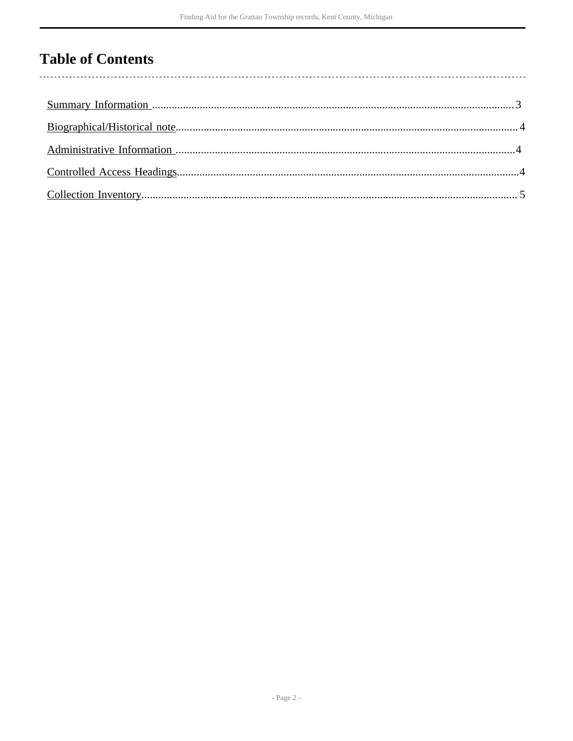## **Table of Contents**

l,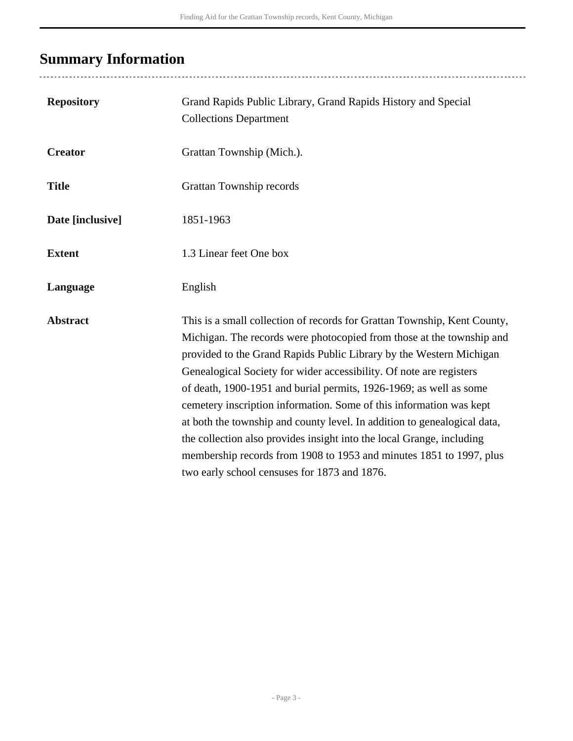# <span id="page-2-0"></span>**Summary Information**

| <b>Repository</b> | Grand Rapids Public Library, Grand Rapids History and Special<br><b>Collections Department</b>                                                                                                                                                                                                                                                                                                                                                                                                                                                                                                                                                                                                                           |
|-------------------|--------------------------------------------------------------------------------------------------------------------------------------------------------------------------------------------------------------------------------------------------------------------------------------------------------------------------------------------------------------------------------------------------------------------------------------------------------------------------------------------------------------------------------------------------------------------------------------------------------------------------------------------------------------------------------------------------------------------------|
| <b>Creator</b>    | Grattan Township (Mich.).                                                                                                                                                                                                                                                                                                                                                                                                                                                                                                                                                                                                                                                                                                |
| <b>Title</b>      | Grattan Township records                                                                                                                                                                                                                                                                                                                                                                                                                                                                                                                                                                                                                                                                                                 |
| Date [inclusive]  | 1851-1963                                                                                                                                                                                                                                                                                                                                                                                                                                                                                                                                                                                                                                                                                                                |
| <b>Extent</b>     | 1.3 Linear feet One box                                                                                                                                                                                                                                                                                                                                                                                                                                                                                                                                                                                                                                                                                                  |
| Language          | English                                                                                                                                                                                                                                                                                                                                                                                                                                                                                                                                                                                                                                                                                                                  |
| <b>Abstract</b>   | This is a small collection of records for Grattan Township, Kent County,<br>Michigan. The records were photocopied from those at the township and<br>provided to the Grand Rapids Public Library by the Western Michigan<br>Genealogical Society for wider accessibility. Of note are registers<br>of death, 1900-1951 and burial permits, 1926-1969; as well as some<br>cemetery inscription information. Some of this information was kept<br>at both the township and county level. In addition to genealogical data,<br>the collection also provides insight into the local Grange, including<br>membership records from 1908 to 1953 and minutes 1851 to 1997, plus<br>two early school censuses for 1873 and 1876. |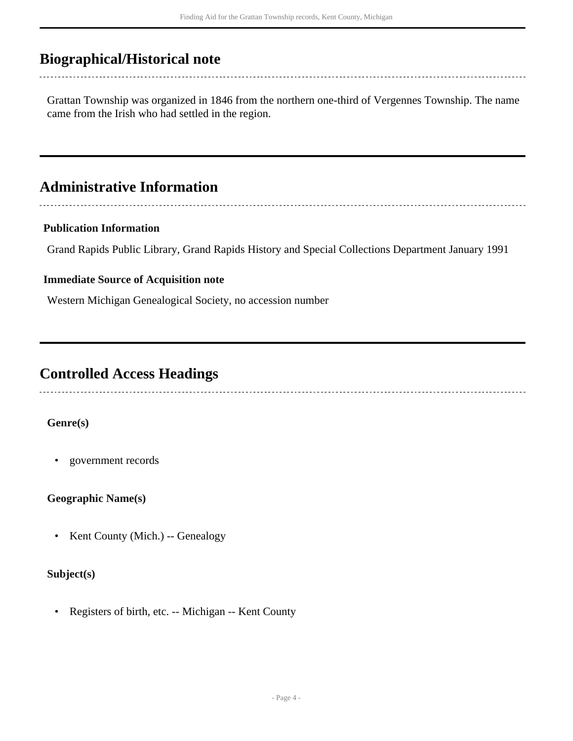## <span id="page-3-0"></span>**Biographical/Historical note**

Grattan Township was organized in 1846 from the northern one-third of Vergennes Township. The name came from the Irish who had settled in the region.

### <span id="page-3-1"></span>**Administrative Information**

#### **Publication Information**

Grand Rapids Public Library, Grand Rapids History and Special Collections Department January 1991

#### **Immediate Source of Acquisition note**

Western Michigan Genealogical Society, no accession number

### <span id="page-3-2"></span>**Controlled Access Headings**

#### **Genre(s)**

• government records

#### **Geographic Name(s)**

• Kent County (Mich.) -- Genealogy

#### **Subject(s)**

• Registers of birth, etc. -- Michigan -- Kent County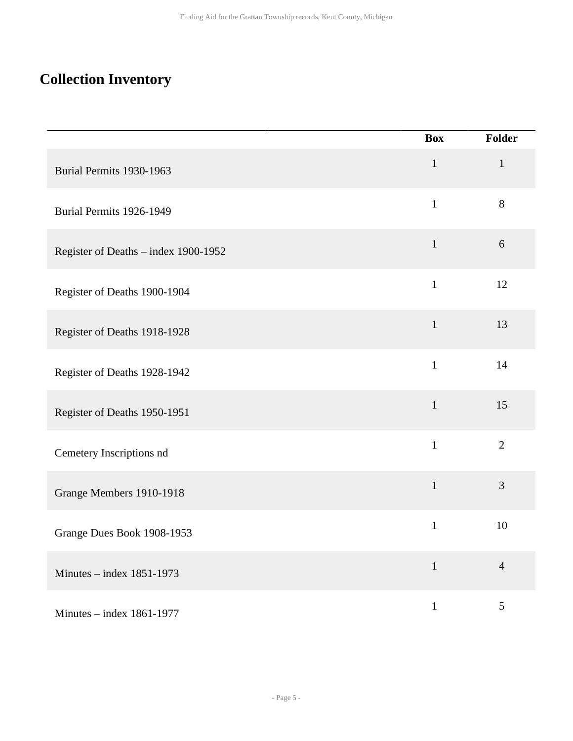## <span id="page-4-0"></span>**Collection Inventory**

|                                      | <b>Box</b>   | Folder         |
|--------------------------------------|--------------|----------------|
| Burial Permits 1930-1963             | $\mathbf{1}$ | $\mathbf{1}$   |
| Burial Permits 1926-1949             | $\mathbf{1}$ | $8\,$          |
| Register of Deaths - index 1900-1952 | $\mathbf{1}$ | 6              |
| Register of Deaths 1900-1904         | $\mathbf{1}$ | 12             |
| Register of Deaths 1918-1928         | $\mathbf{1}$ | 13             |
| Register of Deaths 1928-1942         | $\mathbf{1}$ | 14             |
| Register of Deaths 1950-1951         | $\mathbf{1}$ | 15             |
| Cemetery Inscriptions nd             | $\mathbf{1}$ | $\overline{2}$ |
| Grange Members 1910-1918             | $\mathbf{1}$ | $\mathfrak{Z}$ |
| Grange Dues Book 1908-1953           | $\mathbf{1}$ | 10             |
| Minutes $-$ index 1851-1973          | $\mathbf{1}$ | $\overline{4}$ |
| $Minutes - index 1861-1977$          | $\mathbf{1}$ | 5              |